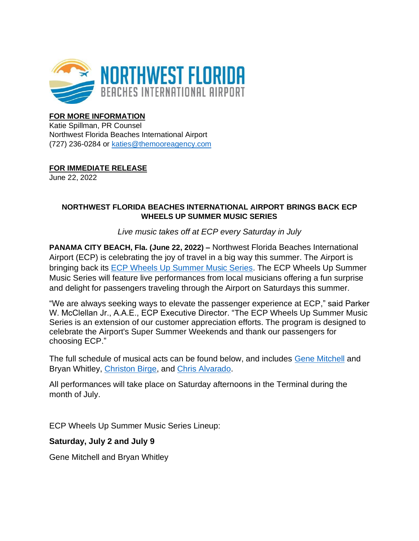

# **FOR MORE INFORMATION**

Katie Spillman, PR Counsel Northwest Florida Beaches International Airport (727) 236-0284 or [katies@themooreagency.com](mailto:katies@themooreagency.com)

**FOR IMMEDIATE RELEASE**

June 22, 2022

### **NORTHWEST FLORIDA BEACHES INTERNATIONAL AIRPORT BRINGS BACK ECP WHEELS UP SUMMER MUSIC SERIES**

*Live music takes off at ECP every Saturday in July*

**PANAMA CITY BEACH, Fla. (June 22, 2022) –** Northwest Florida Beaches International Airport (ECP) is celebrating the joy of travel in a big way this summer. The Airport is bringing back its [ECP Wheels Up Summer Music Series.](https://www.iflybeaches.com/airport-info/ecp-wheels-up-summer-music-series) The ECP Wheels Up Summer Music Series will feature live performances from local musicians offering a fun surprise and delight for passengers traveling through the Airport on Saturdays this summer.

"We are always seeking ways to elevate the passenger experience at ECP," said Parker W. McClellan Jr., A.A.E., ECP Executive Director. "The ECP Wheels Up Summer Music Series is an extension of our customer appreciation efforts. The program is designed to celebrate the Airport's Super Summer Weekends and thank our passengers for choosing ECP."

The full schedule of musical acts can be found below, and includes [Gene Mitchell](http://genemitchell.com/) and Bryan Whitley, [Christon Birge,](https://www.christonbirge.com/) and [Chris Alvarado.](https://www.facebook.com/ChrisAlvaradoMusic/)

All performances will take place on Saturday afternoons in the Terminal during the month of July.

ECP Wheels Up Summer Music Series Lineup:

# **Saturday, July 2 and July 9**

Gene Mitchell and Bryan Whitley